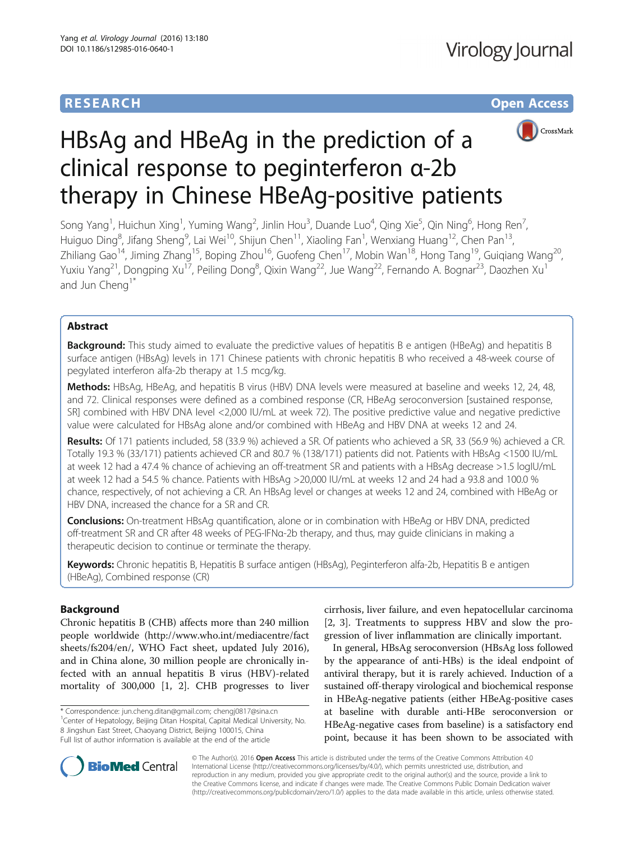### **RESEARCH CHE Open Access**



# HBsAg and HBeAg in the prediction of a clinical response to peginterferon α-2b therapy in Chinese HBeAg-positive patients

Song Yang<sup>1</sup>, Huichun Xing<sup>1</sup>, Yuming Wang<sup>2</sup>, Jinlin Hou<sup>3</sup>, Duande Luo<sup>4</sup>, Qing Xie<sup>5</sup>, Qin Ning<sup>6</sup>, Hong Ren<sup>7</sup> , Huiguo Ding<sup>8</sup>, Jifang Sheng<sup>9</sup>, Lai Wei<sup>10</sup>, Shijun Chen<sup>11</sup>, Xiaoling Fan<sup>1</sup>, Wenxiang Huang<sup>12</sup>, Chen Pan<sup>13</sup>, Zhiliang Gao<sup>14</sup>, Jiming Zhang<sup>15</sup>, Boping Zhou<sup>16</sup>, Guofeng Chen<sup>17</sup>, Mobin Wan<sup>18</sup>, Hong Tang<sup>19</sup>, Guigiang Wang<sup>20</sup>, Yuxiu Yang<sup>21</sup>, Dongping Xu<sup>17</sup>, Peiling Dong<sup>8</sup>, Qixin Wang<sup>22</sup>, Jue Wang<sup>22</sup>, Fernando A. Bognar<sup>23</sup>, Daozhen Xu<sup>1</sup> and Jun Cheng<sup>1\*</sup>

#### Abstract

**Background:** This study aimed to evaluate the predictive values of hepatitis B e antigen (HBeAg) and hepatitis B surface antigen (HBsAg) levels in 171 Chinese patients with chronic hepatitis B who received a 48-week course of pegylated interferon alfa-2b therapy at 1.5 mcg/kg.

Methods: HBsAg, HBeAg, and hepatitis B virus (HBV) DNA levels were measured at baseline and weeks 12, 24, 48, and 72. Clinical responses were defined as a combined response (CR, HBeAg seroconversion [sustained response, SR] combined with HBV DNA level <2,000 IU/mL at week 72). The positive predictive value and negative predictive value were calculated for HBsAg alone and/or combined with HBeAg and HBV DNA at weeks 12 and 24.

Results: Of 171 patients included, 58 (33.9 %) achieved a SR. Of patients who achieved a SR, 33 (56.9 %) achieved a CR. Totally 19.3 % (33/171) patients achieved CR and 80.7 % (138/171) patients did not. Patients with HBsAg <1500 IU/mL at week 12 had a 47.4 % chance of achieving an off-treatment SR and patients with a HBsAg decrease >1.5 logIU/mL at week 12 had a 54.5 % chance. Patients with HBsAg >20,000 IU/mL at weeks 12 and 24 had a 93.8 and 100.0 % chance, respectively, of not achieving a CR. An HBsAg level or changes at weeks 12 and 24, combined with HBeAg or HBV DNA, increased the chance for a SR and CR.

**Conclusions:** On-treatment HBsAg quantification, alone or in combination with HBeAg or HBV DNA, predicted off-treatment SR and CR after 48 weeks of PEG-IFNα-2b therapy, and thus, may guide clinicians in making a therapeutic decision to continue or terminate the therapy.

Keywords: Chronic hepatitis B, Hepatitis B surface antigen (HBsAg), Peginterferon alfa-2b, Hepatitis B e antigen (HBeAg), Combined response (CR)

#### Background

Chronic hepatitis B (CHB) affects more than 240 million people worldwide ([http://www.who.int/mediacentre/fact](http://www.who.int/mediacentre/factsheets/fs204/en/) [sheets/fs204/en/,](http://www.who.int/mediacentre/factsheets/fs204/en/) WHO Fact sheet, updated July 2016), and in China alone, 30 million people are chronically infected with an annual hepatitis B virus (HBV)-related mortality of 300,000 [[1, 2\]](#page-7-0). CHB progresses to liver

\* Correspondence: [jun.cheng.ditan@gmail.com](mailto:jun.cheng.ditan@gmail.com); [chengj0817@sina.cn](mailto:chengj0817@sina.cn) <sup>1</sup> Center of Hepatology, Beijing Ditan Hospital, Capital Medical University, No. 8 Jingshun East Street, Chaoyang District, Beijing 100015, China Full list of author information is available at the end of the article

cirrhosis, liver failure, and even hepatocellular carcinoma [[2, 3](#page-7-0)]. Treatments to suppress HBV and slow the progression of liver inflammation are clinically important.

In general, HBsAg seroconversion (HBsAg loss followed by the appearance of anti-HBs) is the ideal endpoint of antiviral therapy, but it is rarely achieved. Induction of a sustained off-therapy virological and biochemical response in HBeAg-negative patients (either HBeAg-positive cases at baseline with durable anti-HBe seroconversion or HBeAg-negative cases from baseline) is a satisfactory end point, because it has been shown to be associated with



© The Author(s). 2016 Open Access This article is distributed under the terms of the Creative Commons Attribution 4.0 International License [\(http://creativecommons.org/licenses/by/4.0/](http://creativecommons.org/licenses/by/4.0/)), which permits unrestricted use, distribution, and reproduction in any medium, provided you give appropriate credit to the original author(s) and the source, provide a link to the Creative Commons license, and indicate if changes were made. The Creative Commons Public Domain Dedication waiver [\(http://creativecommons.org/publicdomain/zero/1.0/](http://creativecommons.org/publicdomain/zero/1.0/)) applies to the data made available in this article, unless otherwise stated.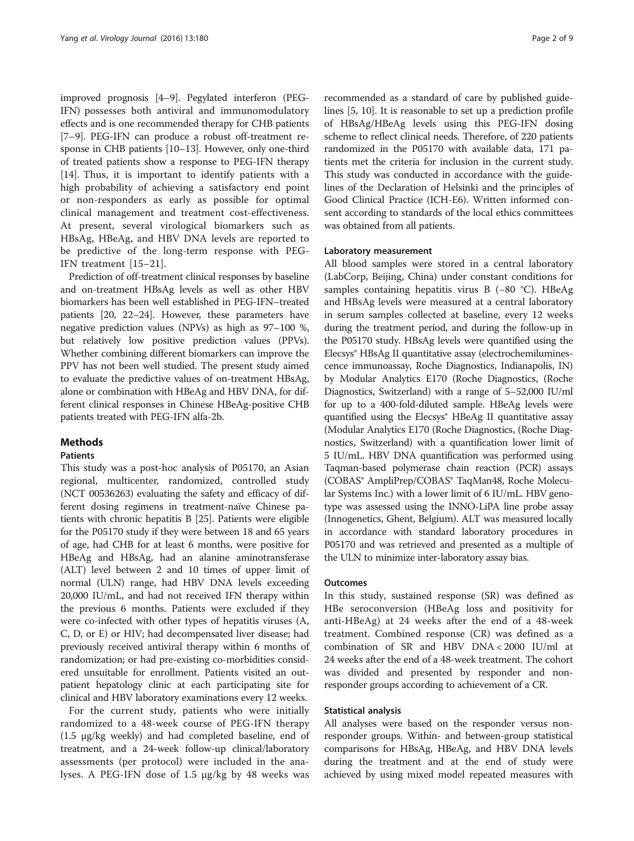improved prognosis [[4](#page-7-0)–[9](#page-7-0)]. Pegylated interferon (PEG-IFN) possesses both antiviral and immunomodulatory effects and is one recommended therapy for CHB patients [[7](#page-7-0)–[9](#page-7-0)]. PEG-IFN can produce a robust off-treatment response in CHB patients [[10](#page-7-0)–[13\]](#page-7-0). However, only one-third of treated patients show a response to PEG-IFN therapy [[14](#page-7-0)]. Thus, it is important to identify patients with a high probability of achieving a satisfactory end point or non-responders as early as possible for optimal clinical management and treatment cost-effectiveness. At present, several virological biomarkers such as HBsAg, HBeAg, and HBV DNA levels are reported to be predictive of the long-term response with PEG-IFN treatment [[15](#page-7-0)–[21\]](#page-8-0).

Prediction of off-treatment clinical responses by baseline and on-treatment HBsAg levels as well as other HBV biomarkers has been well established in PEG-IFN–treated patients [\[20](#page-7-0), [22](#page-8-0)–[24](#page-8-0)]. However, these parameters have negative prediction values (NPVs) as high as 97–100 %, but relatively low positive prediction values (PPVs). Whether combining different biomarkers can improve the PPV has not been well studied. The present study aimed to evaluate the predictive values of on-treatment HBsAg, alone or combination with HBeAg and HBV DNA, for different clinical responses in Chinese HBeAg-positive CHB patients treated with PEG-IFN alfa-2b.

#### Methods

#### **Patients**

This study was a post-hoc analysis of P05170, an Asian regional, multicenter, randomized, controlled study (NCT 00536263) evaluating the safety and efficacy of different dosing regimens in treatment-naïve Chinese patients with chronic hepatitis B [\[25](#page-8-0)]. Patients were eligible for the P05170 study if they were between 18 and 65 years of age, had CHB for at least 6 months, were positive for HBeAg and HBsAg, had an alanine aminotransferase (ALT) level between 2 and 10 times of upper limit of normal (ULN) range, had HBV DNA levels exceeding 20,000 IU/mL, and had not received IFN therapy within the previous 6 months. Patients were excluded if they were co-infected with other types of hepatitis viruses (A, C, D, or E) or HIV; had decompensated liver disease; had previously received antiviral therapy within 6 months of randomization; or had pre-existing co-morbidities considered unsuitable for enrollment. Patients visited an outpatient hepatology clinic at each participating site for clinical and HBV laboratory examinations every 12 weeks.

For the current study, patients who were initially randomized to a 48-week course of PEG-IFN therapy (1.5 μg/kg weekly) and had completed baseline, end of treatment, and a 24-week follow-up clinical/laboratory assessments (per protocol) were included in the analyses. A PEG-IFN dose of 1.5 μg/kg by 48 weeks was

recommended as a standard of care by published guidelines [\[5](#page-7-0), [10](#page-7-0)]. It is reasonable to set up a prediction profile of HBsAg/HBeAg levels using this PEG-IFN dosing scheme to reflect clinical needs. Therefore, of 220 patients randomized in the P05170 with available data, 171 patients met the criteria for inclusion in the current study. This study was conducted in accordance with the guidelines of the Declaration of Helsinki and the principles of Good Clinical Practice (ICH-E6). Written informed consent according to standards of the local ethics committees was obtained from all patients.

#### Laboratory measurement

All blood samples were stored in a central laboratory (LabCorp, Beijing, China) under constant conditions for samples containing hepatitis virus B (−80 °C). HBeAg and HBsAg levels were measured at a central laboratory in serum samples collected at baseline, every 12 weeks during the treatment period, and during the follow-up in the P05170 study. HBsAg levels were quantified using the Elecsys® HBsAg II quantitative assay (electrochemiluminescence immunoassay, Roche Diagnostics, Indianapolis, IN) by Modular Analytics E170 (Roche Diagnostics, (Roche Diagnostics, Switzerland) with a range of 5–52,000 IU/ml for up to a 400-fold-diluted sample. HBeAg levels were quantified using the Elecsys® HBeAg II quantitative assay (Modular Analytics E170 (Roche Diagnostics, (Roche Diagnostics, Switzerland) with a quantification lower limit of 5 IU/mL. HBV DNA quantification was performed using Taqman-based polymerase chain reaction (PCR) assays (COBAS® AmpliPrep/COBAS® TaqMan48, Roche Molecular Systems Inc.) with a lower limit of 6 IU/mL. HBV genotype was assessed using the INNO-LiPA line probe assay (Innogenetics, Ghent, Belgium). ALT was measured locally in accordance with standard laboratory procedures in P05170 and was retrieved and presented as a multiple of the ULN to minimize inter-laboratory assay bias.

#### **Outcomes**

In this study, sustained response (SR) was defined as HBe seroconversion (HBeAg loss and positivity for anti-HBeAg) at 24 weeks after the end of a 48-week treatment. Combined response (CR) was defined as a combination of SR and HBV DNA < 2000 IU/ml at 24 weeks after the end of a 48-week treatment. The cohort was divided and presented by responder and nonresponder groups according to achievement of a CR.

#### Statistical analysis

All analyses were based on the responder versus nonresponder groups. Within- and between-group statistical comparisons for HBsAg, HBeAg, and HBV DNA levels during the treatment and at the end of study were achieved by using mixed model repeated measures with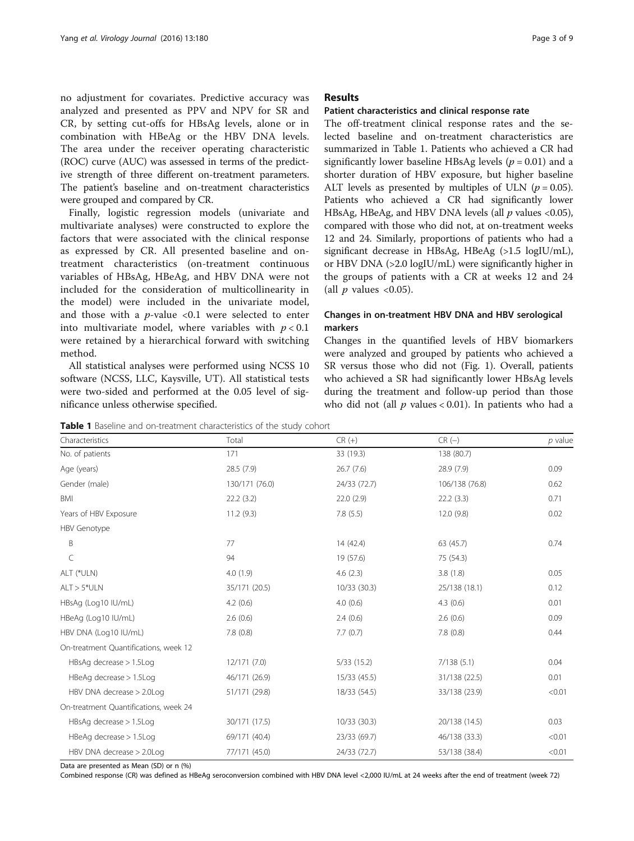no adjustment for covariates. Predictive accuracy was analyzed and presented as PPV and NPV for SR and CR, by setting cut-offs for HBsAg levels, alone or in combination with HBeAg or the HBV DNA levels. The area under the receiver operating characteristic (ROC) curve (AUC) was assessed in terms of the predictive strength of three different on-treatment parameters. The patient's baseline and on-treatment characteristics were grouped and compared by CR.

Finally, logistic regression models (univariate and multivariate analyses) were constructed to explore the factors that were associated with the clinical response as expressed by CR. All presented baseline and ontreatment characteristics (on-treatment continuous variables of HBsAg, HBeAg, and HBV DNA were not included for the consideration of multicollinearity in the model) were included in the univariate model, and those with a  $p$ -value <0.1 were selected to enter into multivariate model, where variables with  $p < 0.1$ were retained by a hierarchical forward with switching method.

All statistical analyses were performed using NCSS 10 software (NCSS, LLC, Kaysville, UT). All statistical tests were two-sided and performed at the 0.05 level of significance unless otherwise specified.

#### Results

#### Patient characteristics and clinical response rate

The off-treatment clinical response rates and the selected baseline and on-treatment characteristics are summarized in Table 1. Patients who achieved a CR had significantly lower baseline HBsAg levels ( $p = 0.01$ ) and a shorter duration of HBV exposure, but higher baseline ALT levels as presented by multiples of ULN ( $p = 0.05$ ). Patients who achieved a CR had significantly lower HBsAg, HBeAg, and HBV DNA levels (all  $p$  values <0.05), compared with those who did not, at on-treatment weeks 12 and 24. Similarly, proportions of patients who had a significant decrease in HBsAg, HBeAg (>1.5 logIU/mL), or HBV DNA (>2.0 logIU/mL) were significantly higher in the groups of patients with a CR at weeks 12 and 24 (all  $p$  values <0.05).

#### Changes in on-treatment HBV DNA and HBV serological markers

Changes in the quantified levels of HBV biomarkers were analyzed and grouped by patients who achieved a SR versus those who did not (Fig. [1](#page-3-0)). Overall, patients who achieved a SR had significantly lower HBsAg levels during the treatment and follow-up period than those who did not (all  $p$  values < 0.01). In patients who had a

Table 1 Baseline and on-treatment characteristics of the study cohort

Characteristics politics control control critical CR (+) CR (−) control critical p value No. of patients 171 171 33 (19.3) 138 (80.7) Age (years) 28.5 (7.9) 28.5 (7.9) 28.7 (7.6) 28.9 (7.9) 28.9 (7.9) 28.9 (7.9) 28.9 (7.9) 28.9 (7.9) Gender (male) 130/171 (76.0) 24/33 (72.7) 106/138 (76.8) 0.62 BMI 22.2 (3.2) 22.2 (3.2) 22.0 (2.9) 22.2 (3.3) 0.71 Years of HBV Exposure 11.2 (9.3) 12.0 (9.8) 12.0 (9.8) 0.02 HBV Genotype B 14 (42.4) 63 (45.7) 0.74  $C$  75 (54.3) 94 94 19 (57.6) 75 (54.3) ALT (\*ULN) 4.0 (1.9) 4.6 (2.3) 3.8 (1.8) 0.05 ALT > 5\*ULN 35/171 (20.5) 10/33 (30.3) 25/138 (18.1) 0.12 HBsAg (Log10 IU/mL) 4.2 (0.6) 4.0 (0.6) 4.3 (0.6) 4.3 (0.6) 4.3 (0.6) 0.01 HBeAg (Log10 IU/mL) 2.6 (0.6) 2.4 (0.6) 2.6 (0.6) 0.09 HBV DNA (Log10 IU/mL) 7.8 (0.8) 7.7 (0.7) 7.7 (0.7) 7.8 (0.8) 0.44 On-treatment Quantifications, week 12 HBsAg decrease > 1.5Log 12/171 (7.0) 5/33 (15.2) 7/138 (5.1) 7/138 (5.1) 0.04 HBeAg decrease > 1.5Log 1.5/33 (45.5) 15/33 (45.5) 15/33 (45.5) 31/138 (22.5) 0.01 HBV DNA decrease > 2.0Log 51/171 (29.8) 18/33 (54.5) 33/138 (23.9) <0.01 On-treatment Quantifications, week 24 HBsAg decrease > 1.5Log 30/171 (17.5) 10/33 (30.3) 20/138 (14.5) 2003 3003 HBeAg decrease > 1.5Log 69/171 (40.4) 23/33 (69.7) 46/138 (33.3) <0.01 HBV DNA decrease > 2.0Log 77/171 (45.0) 24/33 (72.7) 53/138 (38.4) <0.01

Data are presented as Mean (SD) or n (%)

Combined response (CR) was defined as HBeAg seroconversion combined with HBV DNA level <2,000 IU/mL at 24 weeks after the end of treatment (week 72)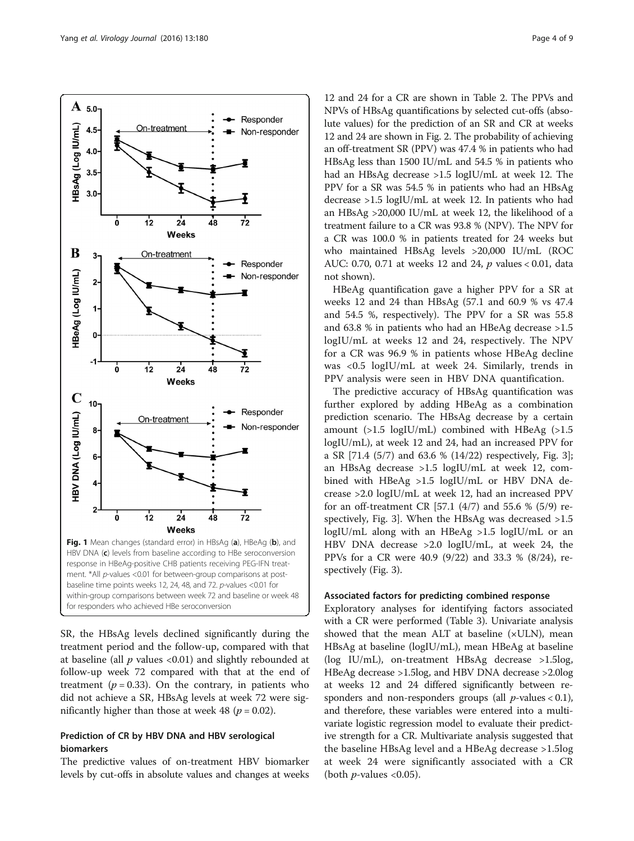SR, the HBsAg levels declined significantly during the treatment period and the follow-up, compared with that baseline time points weeks 12, 24, 48, and 72. p-values <0.01 for within-group comparisons between week 72 and baseline or week 48 for responders who achieved HBe seroconversion

at baseline (all  $p$  values <0.01) and slightly rebounded at follow-up week 72 compared with that at the end of treatment ( $p = 0.33$ ). On the contrary, in patients who did not achieve a SR, HBsAg levels at week 72 were significantly higher than those at week 48 ( $p = 0.02$ ).

#### Prediction of CR by HBV DNA and HBV serological biomarkers

The predictive values of on-treatment HBV biomarker levels by cut-offs in absolute values and changes at weeks

12 and 24 for a CR are shown in Table [2.](#page-4-0) The PPVs and NPVs of HBsAg quantifications by selected cut-offs (absolute values) for the prediction of an SR and CR at weeks 12 and 24 are shown in Fig. [2](#page-5-0). The probability of achieving an off-treatment SR (PPV) was 47.4 % in patients who had HBsAg less than 1500 IU/mL and 54.5 % in patients who had an HBsAg decrease >1.5 logIU/mL at week 12. The PPV for a SR was 54.5 % in patients who had an HBsAg decrease >1.5 logIU/mL at week 12. In patients who had an HBsAg >20,000 IU/mL at week 12, the likelihood of a treatment failure to a CR was 93.8 % (NPV). The NPV for a CR was 100.0 % in patients treated for 24 weeks but who maintained HBsAg levels >20,000 IU/mL (ROC AUC: 0.70, 0.71 at weeks 12 and 24, p values < 0.01, data not shown).

HBeAg quantification gave a higher PPV for a SR at weeks 12 and 24 than HBsAg (57.1 and 60.9 % vs 47.4 and 54.5 %, respectively). The PPV for a SR was 55.8 and 63.8 % in patients who had an HBeAg decrease >1.5 logIU/mL at weeks 12 and 24, respectively. The NPV for a CR was 96.9 % in patients whose HBeAg decline was <0.5 logIU/mL at week 24. Similarly, trends in PPV analysis were seen in HBV DNA quantification.

The predictive accuracy of HBsAg quantification was further explored by adding HBeAg as a combination prediction scenario. The HBsAg decrease by a certain amount (>1.5 logIU/mL) combined with HBeAg (>1.5 logIU/mL), at week 12 and 24, had an increased PPV for a SR [71.4 (5/7) and 63.6 % (14/22) respectively, Fig. [3](#page-5-0)]; an HBsAg decrease >1.5 logIU/mL at week 12, combined with HBeAg >1.5 logIU/mL or HBV DNA decrease >2.0 logIU/mL at week 12, had an increased PPV for an off-treatment CR [57.1 (4/7) and 55.6 % (5/9) respectively, Fig. [3\]](#page-5-0). When the HBsAg was decreased >1.5 logIU/mL along with an HBeAg >1.5 logIU/mL or an HBV DNA decrease >2.0 logIU/mL, at week 24, the PPVs for a CR were 40.9 (9/22) and 33.3 % (8/24), respectively (Fig. [3\)](#page-5-0).

#### Associated factors for predicting combined response

Exploratory analyses for identifying factors associated with a CR were performed (Table [3\)](#page-6-0). Univariate analysis showed that the mean ALT at baseline (×ULN), mean HBsAg at baseline (logIU/mL), mean HBeAg at baseline (log IU/mL), on-treatment HBsAg decrease >1.5log, HBeAg decrease >1.5log, and HBV DNA decrease >2.0log at weeks 12 and 24 differed significantly between responders and non-responders groups (all  $p$ -values < 0.1), and therefore, these variables were entered into a multivariate logistic regression model to evaluate their predictive strength for a CR. Multivariate analysis suggested that the baseline HBsAg level and a HBeAg decrease >1.5log at week 24 were significantly associated with a CR (both  $p$ -values <0.05).

<span id="page-3-0"></span>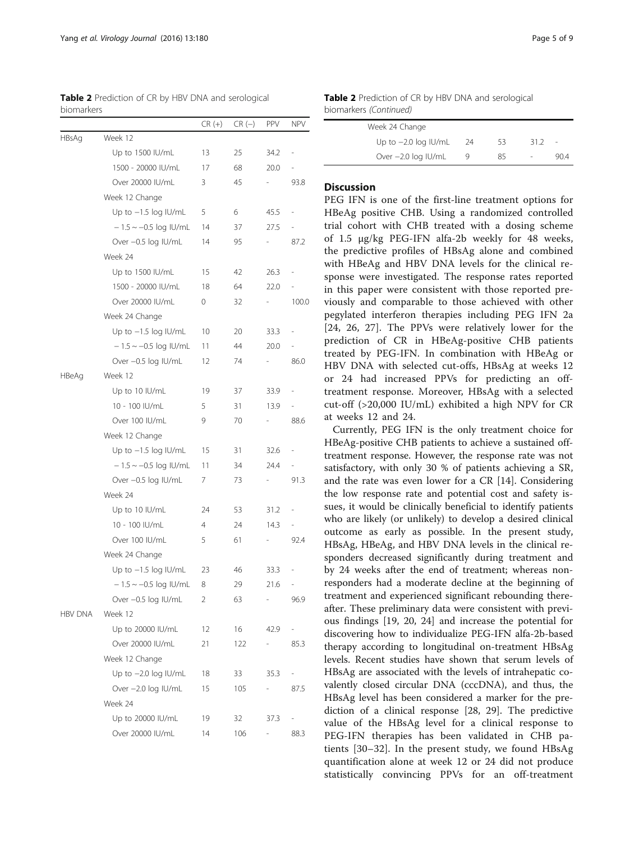<span id="page-4-0"></span>Table 2 Prediction of CR by HBV DNA and serological biomarkers

|                |                            | $CR (+)$ | $CR(-)$ | PPV                      | <b>NPV</b>               |  |
|----------------|----------------------------|----------|---------|--------------------------|--------------------------|--|
| HBsAg          | Week 12                    |          |         |                          |                          |  |
|                | Up to 1500 IU/mL           | 13       | 25      | 34.2                     |                          |  |
|                | 1500 - 20000 IU/mL         | 17       | 68      | 20.0                     |                          |  |
|                | Over 20000 IU/mL           | 3        | 45      |                          | 93.8                     |  |
|                | Week 12 Change             |          |         |                          |                          |  |
|                | Up to $-1.5$ log IU/mL     | 5        | 6       | 45.5                     | $\overline{\phantom{0}}$ |  |
|                | $-1.5 \sim -0.5$ log IU/mL | 14       | 37      | 27.5                     |                          |  |
|                | Over -0.5 log IU/mL        | 14       | 95      |                          | 87.2                     |  |
|                | Week 24                    |          |         |                          |                          |  |
|                | Up to 1500 IU/mL           | 15       | 42      | 26.3                     |                          |  |
|                | 1500 - 20000 IU/mL         | 18       | 64      | 22.0                     |                          |  |
|                | Over 20000 IU/mL           | 0        | 32      | $\overline{\phantom{0}}$ | 100.0                    |  |
|                | Week 24 Change             |          |         |                          |                          |  |
|                | Up to $-1.5$ log IU/mL     | 10       | 20      | 33.3                     |                          |  |
|                | $-1.5 \sim -0.5$ log IU/mL | 11       | 44      | 20.0                     |                          |  |
|                | Over -0.5 log IU/mL        | 12       | 74      |                          | 86.0                     |  |
| HBeAg          | Week 12                    |          |         |                          |                          |  |
|                | Up to 10 IU/mL             | 19       | 37      | 33.9                     | $\overline{a}$           |  |
|                | 10 - 100 IU/mL             | 5        | 31      | 13.9                     |                          |  |
|                | Over 100 IU/mL             | 9        | 70      |                          | 88.6                     |  |
|                | Week 12 Change             |          |         |                          |                          |  |
|                | Up to $-1.5$ log IU/mL     | 15       | 31      | 32.6                     |                          |  |
|                | $-1.5 \sim -0.5$ log IU/mL | 11       | 34      | 24.4                     |                          |  |
|                | Over -0.5 log IU/mL        | 7        | 73      | $\overline{\phantom{0}}$ | 91.3                     |  |
|                | Week 24                    |          |         |                          |                          |  |
|                | Up to 10 IU/mL             | 24       | 53      | 31.2                     |                          |  |
|                | 10 - 100 IU/mL             | 4        | 24      | 14.3                     |                          |  |
|                | Over 100 IU/mL             | 5        | 61      |                          | 92.4                     |  |
|                | Week 24 Change             |          |         |                          |                          |  |
|                | Up to $-1.5$ log IU/mL     | 23       | 46      | 33.3                     |                          |  |
|                | $-1.5 \sim -0.5$ log IU/mL | 8        | 29      | 21.6                     |                          |  |
|                | Over -0.5 log IU/mL        | 2        | 63      |                          | 96.9                     |  |
| <b>HBV DNA</b> | Week 12                    |          |         |                          |                          |  |
|                | Up to 20000 IU/mL          | 12       | 16      | 42.9                     |                          |  |
|                | Over 20000 IU/mL           | 21       | 122     |                          | 85.3                     |  |
|                | Week 12 Change             |          |         |                          |                          |  |
|                | Up to -2.0 log IU/mL       | 18       | 33      | 35.3                     |                          |  |
|                | Over -2.0 log IU/mL        | 15       | 105     |                          | 87.5                     |  |
|                | Week 24                    |          |         |                          |                          |  |
|                | Up to 20000 IU/mL          | 19       | 32      | 37.3                     |                          |  |
|                | Over 20000 IU/mL           | 14       | 106     |                          | 88.3                     |  |
|                |                            |          |         |                          |                          |  |

| <b>Table 2</b> Prediction of CR by HBV DNA and serological |  |
|------------------------------------------------------------|--|
| biomarkers (Continued)                                     |  |

| Week 24 Change         |    |    |                          |                          |
|------------------------|----|----|--------------------------|--------------------------|
| Up to $-2.0$ log IU/mL | 24 | 53 | 312                      | $\overline{\phantom{a}}$ |
| Over -2.0 log IU/mL    | 9  | 85 | $\overline{\phantom{a}}$ | 90.4                     |

#### **Discussion**

PEG IFN is one of the first-line treatment options for HBeAg positive CHB. Using a randomized controlled trial cohort with CHB treated with a dosing scheme of 1.5 μg/kg PEG-IFN alfa-2b weekly for 48 weeks, the predictive profiles of HBsAg alone and combined with HBeAg and HBV DNA levels for the clinical response were investigated. The response rates reported in this paper were consistent with those reported previously and comparable to those achieved with other pegylated interferon therapies including PEG IFN 2a [[24, 26, 27](#page-8-0)]. The PPVs were relatively lower for the prediction of CR in HBeAg-positive CHB patients treated by PEG-IFN. In combination with HBeAg or HBV DNA with selected cut-offs, HBsAg at weeks 12 or 24 had increased PPVs for predicting an offtreatment response. Moreover, HBsAg with a selected cut-off (>20,000 IU/mL) exhibited a high NPV for CR at weeks 12 and 24.

Currently, PEG IFN is the only treatment choice for HBeAg-positive CHB patients to achieve a sustained offtreatment response. However, the response rate was not satisfactory, with only 30 % of patients achieving a SR, and the rate was even lower for a CR [\[14](#page-7-0)]. Considering the low response rate and potential cost and safety issues, it would be clinically beneficial to identify patients who are likely (or unlikely) to develop a desired clinical outcome as early as possible. In the present study, HBsAg, HBeAg, and HBV DNA levels in the clinical responders decreased significantly during treatment and by 24 weeks after the end of treatment; whereas nonresponders had a moderate decline at the beginning of treatment and experienced significant rebounding thereafter. These preliminary data were consistent with previous findings [\[19, 20](#page-7-0), [24](#page-8-0)] and increase the potential for discovering how to individualize PEG-IFN alfa-2b-based therapy according to longitudinal on-treatment HBsAg levels. Recent studies have shown that serum levels of HBsAg are associated with the levels of intrahepatic covalently closed circular DNA (cccDNA), and thus, the HBsAg level has been considered a marker for the prediction of a clinical response [[28](#page-8-0), [29\]](#page-8-0). The predictive value of the HBsAg level for a clinical response to PEG-IFN therapies has been validated in CHB patients [\[30](#page-8-0)–[32](#page-8-0)]. In the present study, we found HBsAg quantification alone at week 12 or 24 did not produce statistically convincing PPVs for an off-treatment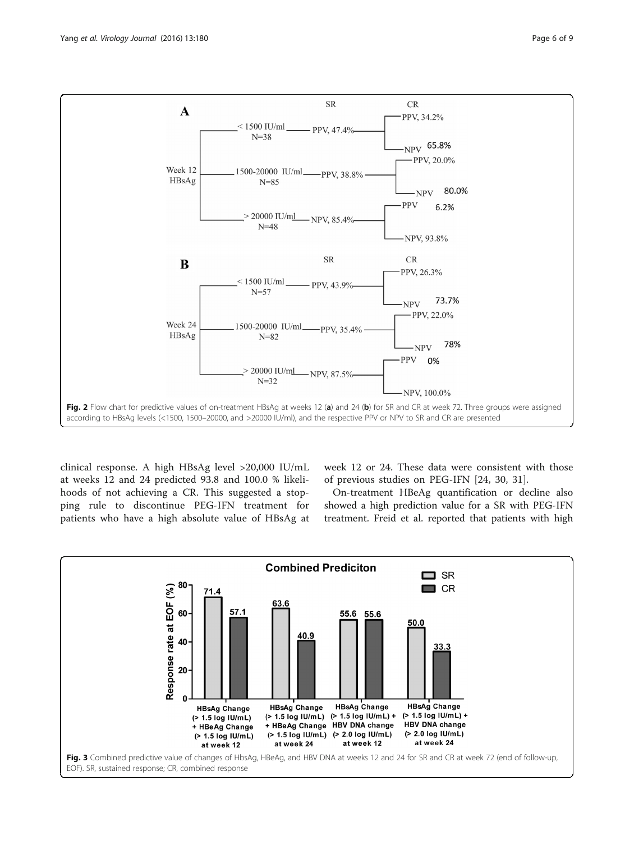<span id="page-5-0"></span>

clinical response. A high HBsAg level >20,000 IU/mL at weeks 12 and 24 predicted 93.8 and 100.0 % likelihoods of not achieving a CR. This suggested a stopping rule to discontinue PEG-IFN treatment for patients who have a high absolute value of HBsAg at week 12 or 24. These data were consistent with those of previous studies on PEG-IFN [[24](#page-8-0), [30](#page-8-0), [31](#page-8-0)].

On-treatment HBeAg quantification or decline also showed a high prediction value for a SR with PEG-IFN treatment. Freid et al. reported that patients with high

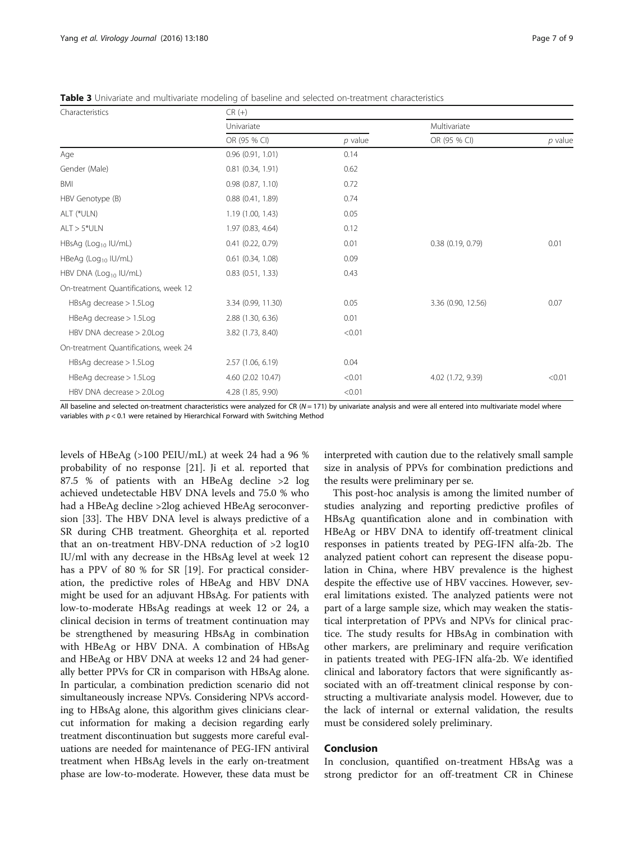<span id="page-6-0"></span>Table 3 Univariate and multivariate modeling of baseline and selected on-treatment characteristics

| Characteristics                       | $CR (+)$              |           |                    |           |  |  |
|---------------------------------------|-----------------------|-----------|--------------------|-----------|--|--|
|                                       | Univariate            |           | Multivariate       |           |  |  |
|                                       | OR (95 % CI)          | $p$ value | OR (95 % CI)       | $p$ value |  |  |
| Age                                   | 0.96(0.91, 1.01)      | 0.14      |                    |           |  |  |
| Gender (Male)                         | 0.81(0.34, 1.91)      | 0.62      |                    |           |  |  |
| BMI                                   | $0.98$ $(0.87, 1.10)$ | 0.72      |                    |           |  |  |
| HBV Genotype (B)                      | 0.88(0.41, 1.89)      | 0.74      |                    |           |  |  |
| ALT (*ULN)                            | 1.19 (1.00, 1.43)     | 0.05      |                    |           |  |  |
| $ALT > 5*ULN$                         | 1.97 (0.83, 4.64)     | 0.12      |                    |           |  |  |
| HBsAg (Log <sub>10</sub> IU/mL)       | 0.41(0.22, 0.79)      | 0.01      | 0.38(0.19, 0.79)   | 0.01      |  |  |
| HBeAg (Log <sub>10</sub> IU/mL)       | $0.61$ $(0.34, 1.08)$ | 0.09      |                    |           |  |  |
| HBV DNA (Log <sub>10</sub> IU/mL)     | $0.83$ $(0.51, 1.33)$ | 0.43      |                    |           |  |  |
| On-treatment Quantifications, week 12 |                       |           |                    |           |  |  |
| HBsAg decrease $> 1.5$ Log            | 3.34 (0.99, 11.30)    | 0.05      | 3.36 (0.90, 12.56) | 0.07      |  |  |
| HBeAg decrease $> 1.5$ Log            | 2.88 (1.30, 6.36)     | 0.01      |                    |           |  |  |
| HBV DNA decrease > 2.0Log             | 3.82 (1.73, 8.40)     | < 0.01    |                    |           |  |  |
| On-treatment Quantifications, week 24 |                       |           |                    |           |  |  |
| HBsAg decrease $> 1.5$ Log            | 2.57 (1.06, 6.19)     | 0.04      |                    |           |  |  |
| HBeAg decrease $> 1.5$ Log            | 4.60 (2.02 10.47)     | < 0.01    | 4.02 (1.72, 9.39)  | < 0.01    |  |  |
| HBV DNA decrease > 2.0Log             | 4.28 (1.85, 9.90)     | < 0.01    |                    |           |  |  |

All baseline and selected on-treatment characteristics were analyzed for CR ( $N = 171$ ) by univariate analysis and were all entered into multivariate model where variables with  $p < 0.1$  were retained by Hierarchical Forward with Switching Method

levels of HBeAg (>100 PEIU/mL) at week 24 had a 96 % probability of no response [[21](#page-8-0)]. Ji et al. reported that 87.5 % of patients with an HBeAg decline >2 log achieved undetectable HBV DNA levels and 75.0 % who had a HBeAg decline >2log achieved HBeAg seroconversion [\[33](#page-8-0)]. The HBV DNA level is always predictive of a SR during CHB treatment. Gheorghiţa et al. reported that an on-treatment HBV-DNA reduction of >2 log10 IU/ml with any decrease in the HBsAg level at week 12 has a PPV of 80 % for SR [\[19](#page-7-0)]. For practical consideration, the predictive roles of HBeAg and HBV DNA might be used for an adjuvant HBsAg. For patients with low-to-moderate HBsAg readings at week 12 or 24, a clinical decision in terms of treatment continuation may be strengthened by measuring HBsAg in combination with HBeAg or HBV DNA. A combination of HBsAg and HBeAg or HBV DNA at weeks 12 and 24 had generally better PPVs for CR in comparison with HBsAg alone. In particular, a combination prediction scenario did not simultaneously increase NPVs. Considering NPVs according to HBsAg alone, this algorithm gives clinicians clearcut information for making a decision regarding early treatment discontinuation but suggests more careful evaluations are needed for maintenance of PEG-IFN antiviral treatment when HBsAg levels in the early on-treatment phase are low-to-moderate. However, these data must be interpreted with caution due to the relatively small sample size in analysis of PPVs for combination predictions and the results were preliminary per se.

This post-hoc analysis is among the limited number of studies analyzing and reporting predictive profiles of HBsAg quantification alone and in combination with HBeAg or HBV DNA to identify off-treatment clinical responses in patients treated by PEG-IFN alfa-2b. The analyzed patient cohort can represent the disease population in China, where HBV prevalence is the highest despite the effective use of HBV vaccines. However, several limitations existed. The analyzed patients were not part of a large sample size, which may weaken the statistical interpretation of PPVs and NPVs for clinical practice. The study results for HBsAg in combination with other markers, are preliminary and require verification in patients treated with PEG-IFN alfa-2b. We identified clinical and laboratory factors that were significantly associated with an off-treatment clinical response by constructing a multivariate analysis model. However, due to the lack of internal or external validation, the results must be considered solely preliminary.

#### Conclusion

In conclusion, quantified on-treatment HBsAg was a strong predictor for an off-treatment CR in Chinese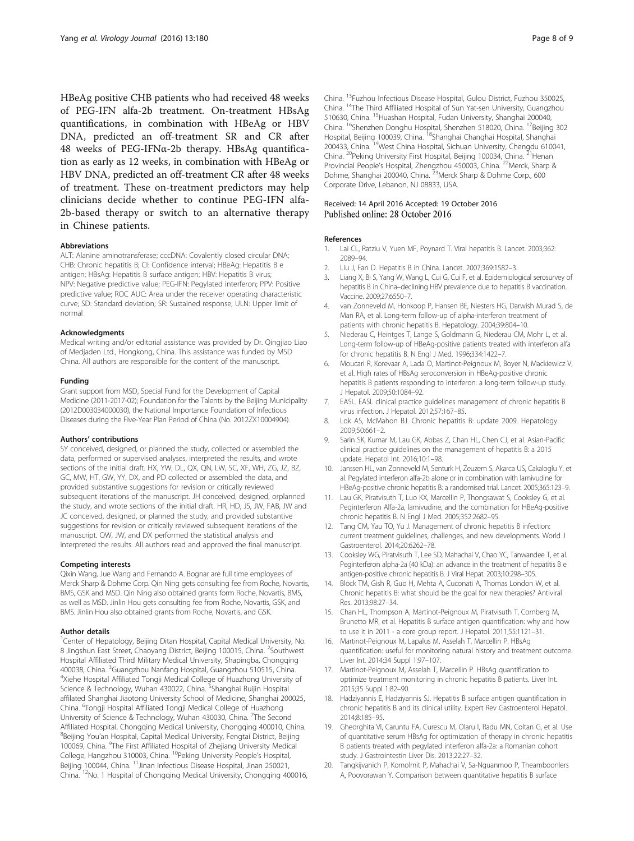<span id="page-7-0"></span>HBeAg positive CHB patients who had received 48 weeks of PEG-IFN alfa-2b treatment. On-treatment HBsAg quantifications, in combination with HBeAg or HBV DNA, predicted an off-treatment SR and CR after 48 weeks of PEG-IFNα-2b therapy. HBsAg quantification as early as 12 weeks, in combination with HBeAg or HBV DNA, predicted an off-treatment CR after 48 weeks of treatment. These on-treatment predictors may help clinicians decide whether to continue PEG-IFN alfa-2b-based therapy or switch to an alternative therapy in Chinese patients.

#### Abbreviations

ALT: Alanine aminotransferase; cccDNA: Covalently closed circular DNA; CHB: Chronic hepatitis B; CI: Confidence interval; HBeAg: Hepatitis B e antigen; HBsAg: Hepatitis B surface antigen; HBV: Hepatitis B virus; NPV: Negative predictive value; PEG-IFN: Pegylated interferon; PPV: Positive predictive value; ROC AUC: Area under the receiver operating characteristic curve; SD: Standard deviation; SR: Sustained response; ULN: Upper limit of normal

#### Acknowledgments

Medical writing and/or editorial assistance was provided by Dr. Qingjiao Liao of Medjaden Ltd., Hongkong, China. This assistance was funded by MSD China. All authors are responsible for the content of the manuscript.

#### Funding

Grant support from MSD, Special Fund for the Development of Capital Medicine (2011-2017-02); Foundation for the Talents by the Beijing Municipality (2012D003034000030), the National Importance Foundation of Infectious Diseases during the Five-Year Plan Period of China (No. 2012ZX10004904).

#### Authors' contributions

SY conceived, designed, or planned the study, collected or assembled the data, performed or supervised analyses, interpreted the results, and wrote sections of the initial draft. HX, YW, DL, QX, QN, LW, SC, XF, WH, ZG, JZ, BZ, GC, MW, HT, GW, YY, DX, and PD collected or assembled the data, and provided substantive suggestions for revision or critically reviewed subsequent iterations of the manuscript. JH conceived, designed, orplanned the study, and wrote sections of the initial draft. HR, HD, JS, JW, FAB, JW and JC conceived, designed, or planned the study, and provided substantive suggestions for revision or critically reviewed subsequent iterations of the manuscript. QW, JW, and DX performed the statistical analysis and interpreted the results. All authors read and approved the final manuscript.

#### Competing interests

Qixin Wang, Jue Wang and Fernando A. Bognar are full time employees of Merck Sharp & Dohme Corp. Qin Ning gets consulting fee from Roche, Novartis, BMS, GSK and MSD. Qin Ning also obtained grants form Roche, Novartis, BMS, as well as MSD. Jinlin Hou gets consulting fee from Roche, Novartis, GSK, and BMS. Jinlin Hou also obtained grants from Roche, Novartis, and GSK.

#### Author details

<sup>1</sup>Center of Hepatology, Beijing Ditan Hospital, Capital Medical University, No. 8 Jingshun East Street, Chaoyang District, Beijing 100015, China. <sup>2</sup>Southwest Hospital Affiliated Third Military Medical University, Shapingba, Chongqing 400038, China. <sup>3</sup>Guangzhou Nanfang Hospital, Guangzhou 510515, China.<br><sup>4</sup>Yieho Hospital Affiliated Tongii Medical Colloge of Huazhong University. <sup>4</sup>Xiehe Hospital Affiliated Tongji Medical College of Huazhong University of Science & Technology, Wuhan 430022, China. <sup>5</sup>Shanghai Ruijin Hospital affilated Shanghai Jiaotong University School of Medicine, Shanghai 200025, China. <sup>6</sup> Tongji Hospital Affiliated Tongji Medical College of Huazhong University of Science & Technology, Wuhan 430030, China. <sup>7</sup>The Second Affiliated Hospital, Chongqing Medical University, Chongqing 400010, China. <sup>8</sup>Beijing You'an Hospital, Capital Medical University, Fengtai District, Beijing 100069, China. <sup>9</sup>The First Affiliated Hospital of Zhejiang University Medical College, Hangzhou 310003, China. 10Peking University People's Hospital, Beijing 100044, China. <sup>11</sup>Jinan Infectious Disease Hospital, Jinan 250021, China. 12No. 1 Hospital of Chongqing Medical University, Chongqing 400016, China. 13Fuzhou Infectious Disease Hospital, Gulou District, Fuzhou 350025, China. 14The Third Affiliated Hospital of Sun Yat-sen University, Guangzhou 510630, China. <sup>15</sup>Huashan Hospital, Fudan University, Shanghai 200040, China. 16Shenzhen Donghu Hospital, Shenzhen 518020, China. 17Beijing 302 Hospital, Beijing 100039, China. <sup>18</sup>Shanghai Changhai Hospital, Shanghai 200433, China. 19West China Hospital, Sichuan University, Chengdu 610041, China. <sup>20</sup>Peking University First Hospital, Beijing 100034, China. <sup>21</sup>Henan Provincial People's Hospital, Zhengzhou 450003, China. <sup>22</sup>Merck, Sharp & Dohme, Shanghai 200040, China. <sup>23</sup>Merck Sharp & Dohme Corp., 600 Corporate Drive, Lebanon, NJ 08833, USA.

## Received: 14 April 2016 Accepted: 19 October 2016<br>Published online: 28 October 2016

#### References

- 1. Lai CL, Ratziu V, Yuen MF, Poynard T. Viral hepatitis B. Lancet. 2003;362: 2089–94.
- 2. Liu J, Fan D. Hepatitis B in China. Lancet. 2007;369:1582–3.
- Liang X, Bi S, Yang W, Wang L, Cui G, Cui F, et al. Epidemiological serosurvey of hepatitis B in China–declining HBV prevalence due to hepatitis B vaccination. Vaccine. 2009;27:6550–7.
- 4. van Zonneveld M, Honkoop P, Hansen BE, Niesters HG, Darwish Murad S, de Man RA, et al. Long-term follow-up of alpha-interferon treatment of patients with chronic hepatitis B. Hepatology. 2004;39:804–10.
- 5. Niederau C, Heintges T, Lange S, Goldmann G, Niederau CM, Mohr L, et al. Long-term follow-up of HBeAg-positive patients treated with interferon alfa for chronic hepatitis B. N Engl J Med. 1996;334:1422–7.
- 6. Moucari R, Korevaar A, Lada O, Martinot-Peignoux M, Boyer N, Mackiewicz V, et al. High rates of HBsAg seroconversion in HBeAg-positive chronic hepatitis B patients responding to interferon: a long-term follow-up study. J Hepatol. 2009;50:1084–92.
- 7. EASL. EASL clinical practice guidelines management of chronic hepatitis B virus infection. J Hepatol. 2012;57:167–85.
- 8. Lok AS, McMahon BJ. Chronic hepatitis B: update 2009. Hepatology. 2009;50:661–2.
- 9. Sarin SK, Kumar M, Lau GK, Abbas Z, Chan HL, Chen CJ, et al. Asian-Pacific clinical practice guidelines on the management of hepatitis B: a 2015 update. Hepatol Int. 2016;10:1–98.
- 10. Janssen HL, van Zonneveld M, Senturk H, Zeuzem S, Akarca US, Cakaloglu Y, et al. Pegylated interferon alfa-2b alone or in combination with lamivudine for HBeAg-positive chronic hepatitis B: a randomised trial. Lancet. 2005;365:123–9.
- 11. Lau GK, Piratvisuth T, Luo KX, Marcellin P, Thongsawat S, Cooksley G, et al. Peginterferon Alfa-2a, lamivudine, and the combination for HBeAg-positive chronic hepatitis B. N Engl J Med. 2005;352:2682–95.
- 12. Tang CM, Yau TO, Yu J. Management of chronic hepatitis B infection: current treatment guidelines, challenges, and new developments. World J Gastroenterol. 2014;20:6262–78.
- 13. Cooksley WG, Piratvisuth T, Lee SD, Mahachai V, Chao YC, Tanwandee T, et al. Peginterferon alpha-2a (40 kDa): an advance in the treatment of hepatitis B e antigen-positive chronic hepatitis B. J Viral Hepat. 2003;10:298–305.
- 14. Block TM, Gish R, Guo H, Mehta A, Cuconati A, Thomas London W, et al. Chronic hepatitis B: what should be the goal for new therapies? Antiviral Res. 2013;98:27–34.
- 15. Chan HL, Thompson A, Martinot-Peignoux M, Piratvisuth T, Cornberg M, Brunetto MR, et al. Hepatitis B surface antigen quantification: why and how to use it in 2011 - a core group report. J Hepatol. 2011;55:1121–31.
- 16. Martinot-Peignoux M, Lapalus M, Asselah T, Marcellin P. HBsAg quantification: useful for monitoring natural history and treatment outcome. Liver Int. 2014;34 Suppl 1:97–107.
- 17. Martinot-Peignoux M, Asselah T, Marcellin P. HBsAg quantification to optimize treatment monitoring in chronic hepatitis B patients. Liver Int. 2015;35 Suppl 1:82–90.
- 18. Hadziyannis E, Hadziyannis SJ. Hepatitis B surface antigen quantification in chronic hepatitis B and its clinical utility. Expert Rev Gastroenterol Hepatol. 2014;8:185–95.
- 19. Gheorghita VI, Caruntu FA, Curescu M, Olaru I, Radu MN, Coltan G, et al. Use of quantitative serum HBsAg for optimization of therapy in chronic hepatitis B patients treated with pegylated interferon alfa-2a: a Romanian cohort study. J Gastrointestin Liver Dis. 2013;22:27–32.
- 20. Tangkijvanich P, Komolmit P, Mahachai V, Sa-Nguanmoo P, Theamboonlers A, Poovorawan Y. Comparison between quantitative hepatitis B surface